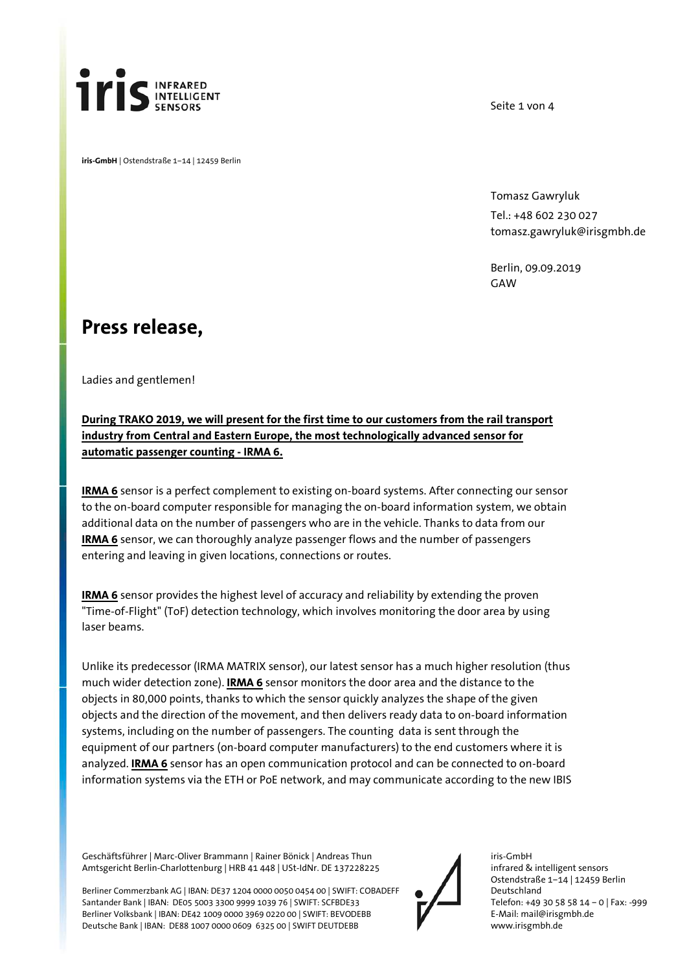

**iris-GmbH** | Ostendstraße 1–14 | 12459 Berlin

Seite 1 von 4

Tomasz Gawryluk Tel.: +48 602 230 027 tomasz.gawryluk@irisgmbh.de

Berlin, 09.09.2019 **GAW** 

## **Press release,**

Ladies and gentlemen!

## **During TRAKO 2019, we will present for the first time to our customers from the rail transport industry from Central and Eastern Europe, the most technologically advanced sensor for automatic passenger counting - IRMA 6.**

**IRMA 6** sensor is a perfect complement to existing on-board systems. After connecting our sensor to the on-board computer responsible for managing the on-board information system, we obtain additional data on the number of passengers who are in the vehicle. Thanks to data from our **IRMA 6** sensor, we can thoroughly analyze passenger flows and the number of passengers entering and leaving in given locations, connections or routes.

**IRMA 6** sensor provides the highest level of accuracy and reliability by extending the proven "Time-of-Flight" (ToF) detection technology, which involves monitoring the door area by using laser beams.

Unlike its predecessor (IRMA MATRIX sensor), our latest sensor has a much higher resolution (thus much wider detection zone). **IRMA 6** sensor monitors the door area and the distance to the objects in 80,000 points, thanks to which the sensor quickly analyzes the shape of the given objects and the direction of the movement, and then delivers ready data to on-board information systems, including on the number of passengers. The counting data is sent through the equipment of our partners (on-board computer manufacturers) to the end customers where it is analyzed. **IRMA 6** sensor has an open communication protocol and can be connected to on-board information systems via the ETH or PoE network, and may communicate according to the new IBIS

Geschäftsführer | Marc-Oliver Brammann | Rainer Bönick | Andreas Thun Amtsgericht Berlin-Charlottenburg | HRB 41 448 | USt-IdNr. DE 137228225

Berliner Commerzbank AG | IBAN: DE37 1204 0000 0050 0454 00 | SWIFT: COBADEFF Santander Bank | IBAN: DE05 5003 3300 9999 1039 76 | SWIFT: SCFBDE33 Berliner Volksbank | IBAN: DE42 1009 0000 3969 0220 00 | SWIFT: BEVODEBB Deutsche Bank | IBAN: DE88 1007 0000 0609 6325 00 | SWIFT DEUTDEBB

iris-GmbH infrared & intelligent sensors Ostendstraße 1–14 | 12459 Berlin Deutschland Telefon: +49 30 58 58 14 – 0 | Fax: -999 E-Mail: mail@irisgmbh.de www.irisgmbh.de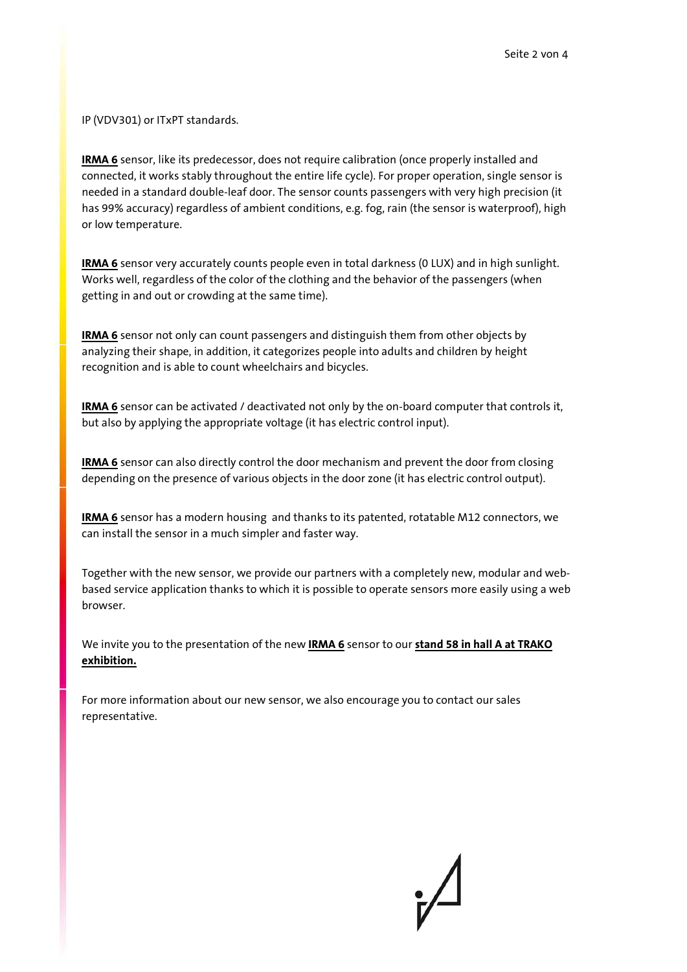IP (VDV301) or ITxPT standards.

**IRMA 6** sensor, like its predecessor, does not require calibration (once properly installed and connected, it works stably throughout the entire life cycle). For proper operation, single sensor is needed in a standard double-leaf door. The sensor counts passengers with very high precision (it has 99% accuracy) regardless of ambient conditions, e.g. fog, rain (the sensor is waterproof), high or low temperature.

**IRMA 6** sensor very accurately counts people even in total darkness (0 LUX) and in high sunlight. Works well, regardless of the color of the clothing and the behavior of the passengers (when getting in and out or crowding at the same time).

**IRMA 6** sensor not only can count passengers and distinguish them from other objects by analyzing their shape, in addition, it categorizes people into adults and children by height recognition and is able to count wheelchairs and bicycles.

**IRMA 6** sensor can be activated / deactivated not only by the on-board computer that controls it, but also by applying the appropriate voltage (it has electric control input).

**IRMA 6** sensor can also directly control the door mechanism and prevent the door from closing depending on the presence of various objects in the door zone (it has electric control output).

**IRMA 6** sensor has a modern housing and thanks to its patented, rotatable M12 connectors, we can install the sensor in a much simpler and faster way.

Together with the new sensor, we provide our partners with a completely new, modular and webbased service application thanks to which it is possible to operate sensors more easily using a web browser.

We invite you to the presentation of the new **IRMA 6** sensor to our **stand 58 in hall A at TRAKO exhibition.**

For more information about our new sensor, we also encourage you to contact our sales representative.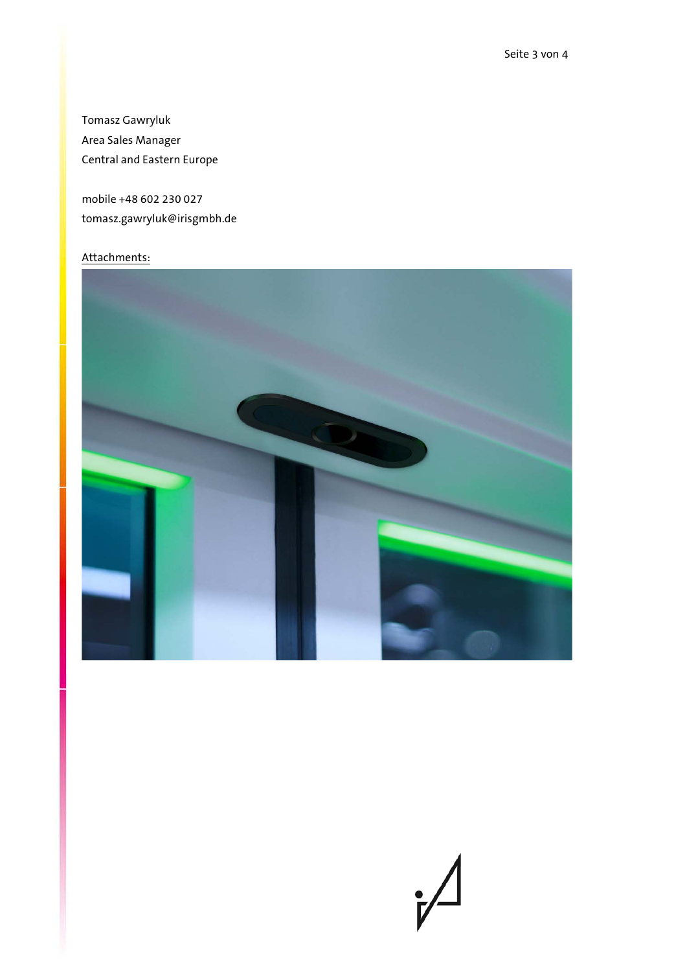Tomasz Gawryluk Area Sales Manager Central and Eastern Europe

mobile +48 602 230 027 tomasz.gawryluk@irisgmbh.de

## Attachments: